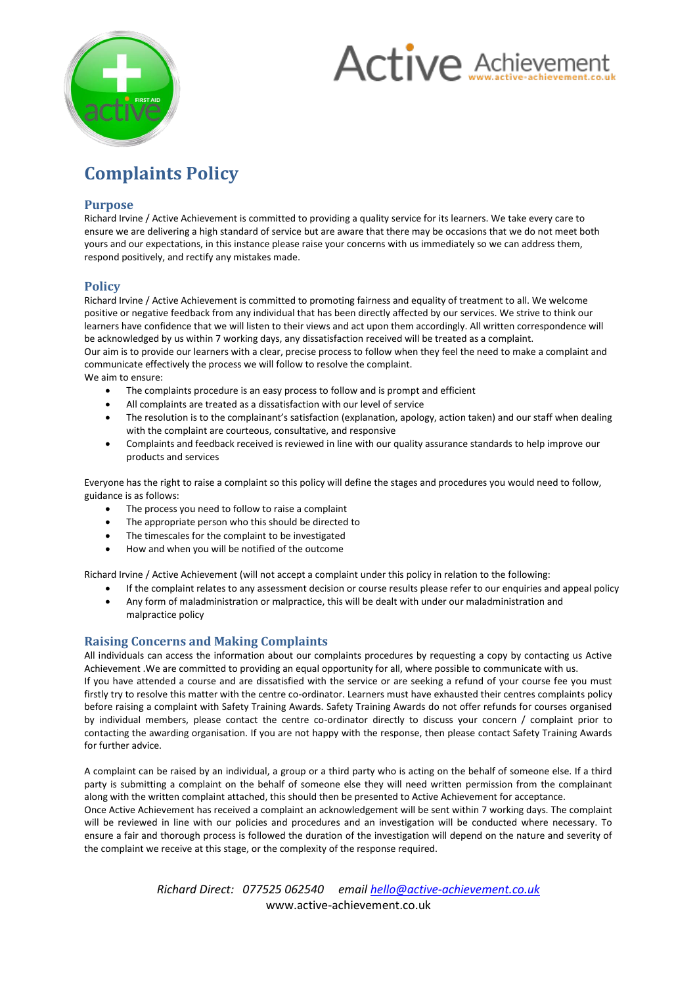



# **Complaints Policy**

## **Purpose**

Richard Irvine / Active Achievement is committed to providing a quality service for its learners. We take every care to ensure we are delivering a high standard of service but are aware that there may be occasions that we do not meet both yours and our expectations, in this instance please raise your concerns with us immediately so we can address them, respond positively, and rectify any mistakes made.

## **Policy**

Richard Irvine / Active Achievement is committed to promoting fairness and equality of treatment to all. We welcome positive or negative feedback from any individual that has been directly affected by our services. We strive to think our learners have confidence that we will listen to their views and act upon them accordingly. All written correspondence will be acknowledged by us within 7 working days, any dissatisfaction received will be treated as a complaint.

Our aim is to provide our learners with a clear, precise process to follow when they feel the need to make a complaint and communicate effectively the process we will follow to resolve the complaint.

We aim to ensure:

- The complaints procedure is an easy process to follow and is prompt and efficient
- All complaints are treated as a dissatisfaction with our level of service
- The resolution is to the complainant's satisfaction (explanation, apology, action taken) and our staff when dealing with the complaint are courteous, consultative, and responsive
- Complaints and feedback received is reviewed in line with our quality assurance standards to help improve our products and services

Everyone has the right to raise a complaint so this policy will define the stages and procedures you would need to follow, guidance is as follows:

- The process you need to follow to raise a complaint
- The appropriate person who this should be directed to
- The timescales for the complaint to be investigated
- How and when you will be notified of the outcome

Richard Irvine / Active Achievement (will not accept a complaint under this policy in relation to the following:

- If the complaint relates to any assessment decision or course results please refer to our enquiries and appeal policy Any form of maladministration or malpractice, this will be dealt with under our maladministration and
- malpractice policy

## **Raising Concerns and Making Complaints**

All individuals can access the information about our complaints procedures by requesting a copy by contacting us Active Achievement .We are committed to providing an equal opportunity for all, where possible to communicate with us. If you have attended a course and are dissatisfied with the service or are seeking a refund of your course fee you must firstly try to resolve this matter with the centre co-ordinator. Learners must have exhausted their centres complaints policy before raising a complaint with Safety Training Awards. Safety Training Awards do not offer refunds for courses organised by individual members, please contact the centre co-ordinator directly to discuss your concern / complaint prior to contacting the awarding organisation. If you are not happy with the response, then please contact Safety Training Awards for further advice.

A complaint can be raised by an individual, a group or a third party who is acting on the behalf of someone else. If a third party is submitting a complaint on the behalf of someone else they will need written permission from the complainant along with the written complaint attached, this should then be presented to Active Achievement for acceptance.

Once Active Achievement has received a complaint an acknowledgement will be sent within 7 working days. The complaint will be reviewed in line with our policies and procedures and an investigation will be conducted where necessary. To ensure a fair and thorough process is followed the duration of the investigation will depend on the nature and severity of the complaint we receive at this stage, or the complexity of the response required.

> *Richard Direct: 077525 062540 email hello@active-achievement.co.uk* www.active-achievement.co.uk